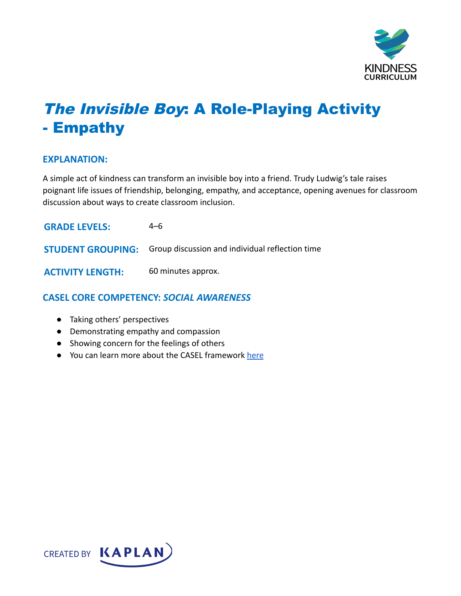

# The Invisible Boy: A Role-Playing Activity - Empathy

#### **EXPLANATION:**

A simple act of kindness can transform an invisible boy into a friend. Trudy Ludwig's tale raises poignant life issues of friendship, belonging, empathy, and acceptance, opening avenues for classroom discussion about ways to create classroom inclusion.

| <b>GRADE LEVELS:</b>     | 4–6                                             |
|--------------------------|-------------------------------------------------|
| <b>STUDENT GROUPING:</b> | Group discussion and individual reflection time |
| <b>ACTIVITY LENGTH:</b>  | 60 minutes approx.                              |

# **CASEL CORE COMPETENCY:** *SOCIAL AWARENESS*

- Taking others' perspectives
- Demonstrating empathy and compassion
- Showing concern for the feelings of others
- You can learn more about the CASEL framework [here](https://casel.org/sel-framework/)

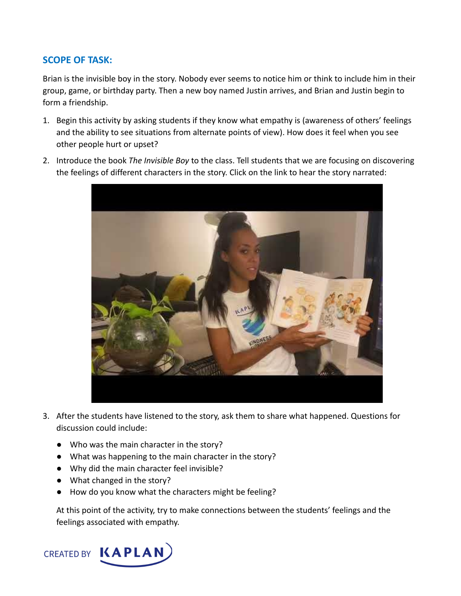## **SCOPE OF TASK:**

Brian is the invisible boy in the story. Nobody ever seems to notice him or think to include him in their group, game, or birthday party. Then a new boy named Justin arrives, and Brian and Justin begin to form a friendship.

- 1. Begin this activity by asking students if they know what empathy is (awareness of others' feelings and the ability to see situations from alternate points of view). How does it feel when you see other people hurt or upset?
- 2. Introduce the book *The Invisible Boy* to the class. Tell students that we are focusing on discovering the feelings of different characters in the story. Click on the link to hear the story narrated:



- 3. After the students have listened to the story, ask them to share what happened. Questions for discussion could include:
	- Who was the main character in the story?
	- What was happening to the main character in the story?
	- Why did the main character feel invisible?
	- What changed in the story?
	- How do you know what the characters might be feeling?

At this point of the activity, try to make connections between the students' feelings and the feelings associated with empathy.